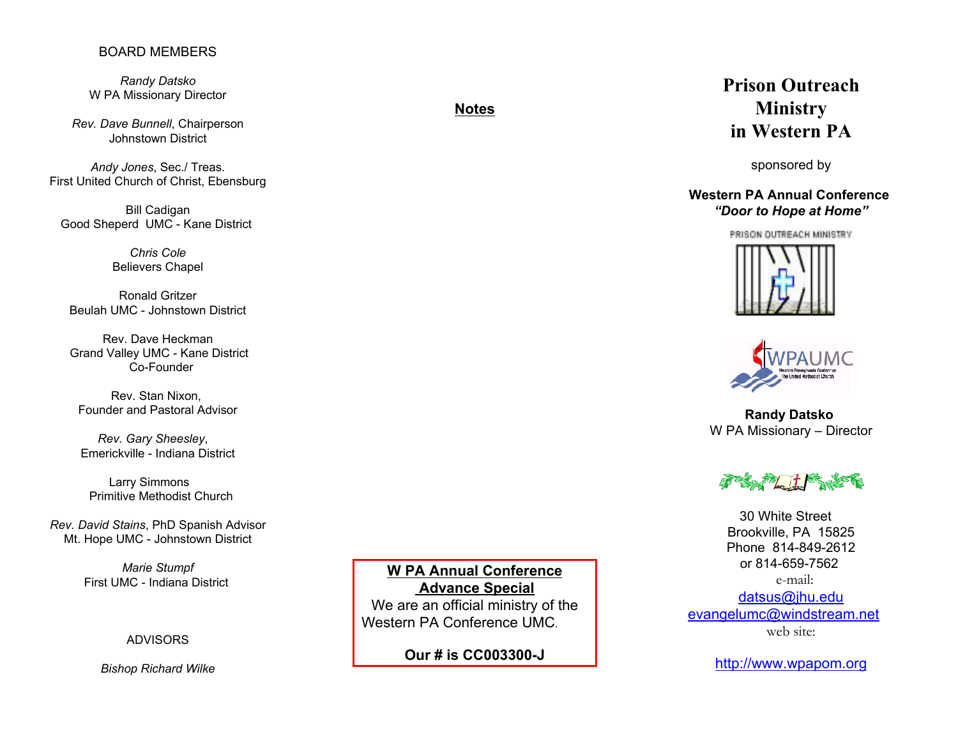## BOARD MEMBERS

*Randy Datsko* W PA Missionary Director

*Rev. Dave Bunnell*, Chairperson Johnstown District

*Andy Jones*, Sec./ Treas. First United Church of Christ, Ebensburg

Bill Cadigan Good Sheperd UMC - Kane District

> *Chris Cole*Believers Chapel

Ronald GritzerBeulah UMC - Johnstown District

Rev. Dave Heckman Grand Valley UMC - Kane District Co-Founder

Rev. Stan Nixon, Founder and Pastoral Advisor

 *Rev. Gary Sheesley*, Emerickville - Indiana District

 Larry Simmons Primitive Methodist Church

*Rev. David Stains*, PhD Spanish Advisor Mt. Hope UMC - Johnstown District

> *Marie Stumpf* First UMC - Indiana District

> > ADVISORS

*Bishop Richard Wilke*

**W PA Annual Conference Advance Special** We are an official ministry of the Western PA Conference UMC.

**Our # is CC003300-J**

# **Prison OutreachMinistry in Western PA**

sponsored by

## **Western PA Annual Conference***"Door to Hope at Home"*







**Randy Datsko**  W PA Missionary – Director



30 White Street Brookville, PA 15825 Phone 814-849-2612or 814-659-7562 e-mail:datsus@jhu.edu evangelumc@windstream.net web site:

http://www.wpapom.org

# **Notes**